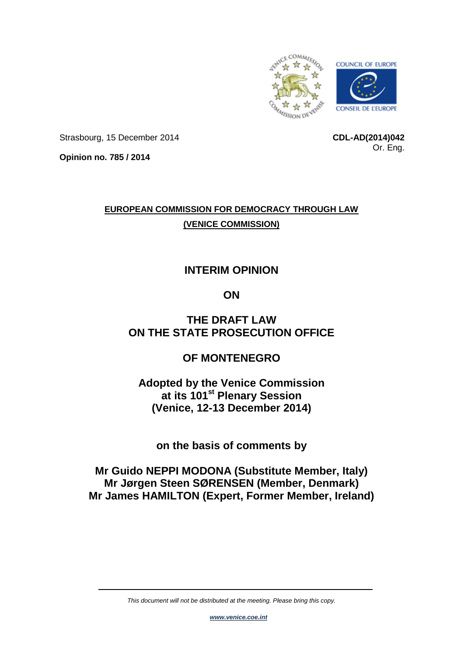

Strasbourg, 15 December 2014

**CDL-AD(2014)042** Or. Eng.

**Opinion no. 785 / 2014**

# **EUROPEAN COMMISSION FOR DEMOCRACY THROUGH LAW (VENICE COMMISSION)**

# **INTERIM OPINION**

# **ON**

# **THE DRAFT LAW ON THE STATE PROSECUTION OFFICE**

# **OF MONTENEGRO**

**Adopted by the Venice Commission at its 101st Plenary Session (Venice, 12-13 December 2014)**

**on the basis of comments by**

# **Mr Guido NEPPI MODONA (Substitute Member, Italy) Mr Jørgen Steen SØRENSEN (Member, Denmark) Mr James HAMILTON (Expert, Former Member, Ireland)**

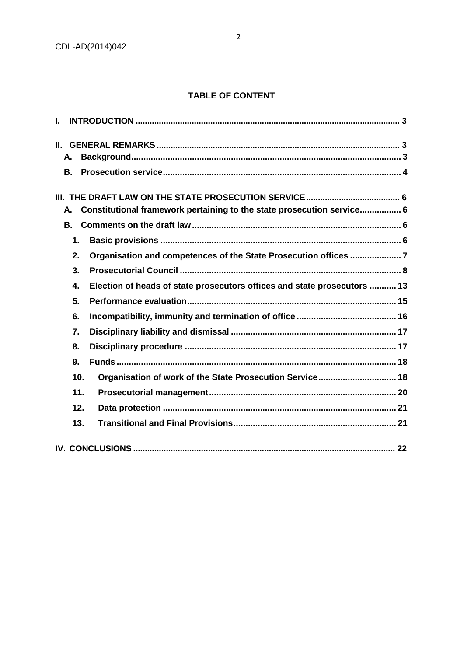## **TABLE OF CONTENT**

| L.                                                                             |  |
|--------------------------------------------------------------------------------|--|
| $\Pi$                                                                          |  |
| А.                                                                             |  |
| В.                                                                             |  |
|                                                                                |  |
| Constitutional framework pertaining to the state prosecution service 6<br>Α.   |  |
| <b>B.</b>                                                                      |  |
| 1.                                                                             |  |
| Organisation and competences of the State Prosecution offices 7<br>2.          |  |
| 3.                                                                             |  |
| Election of heads of state prosecutors offices and state prosecutors  13<br>4. |  |
| 5.                                                                             |  |
| 6.                                                                             |  |
| 7.                                                                             |  |
| 8.                                                                             |  |
| 9.                                                                             |  |
| Organisation of work of the State Prosecution Service 18<br>10.                |  |
| 11.                                                                            |  |
| 12.                                                                            |  |
| 13.                                                                            |  |
|                                                                                |  |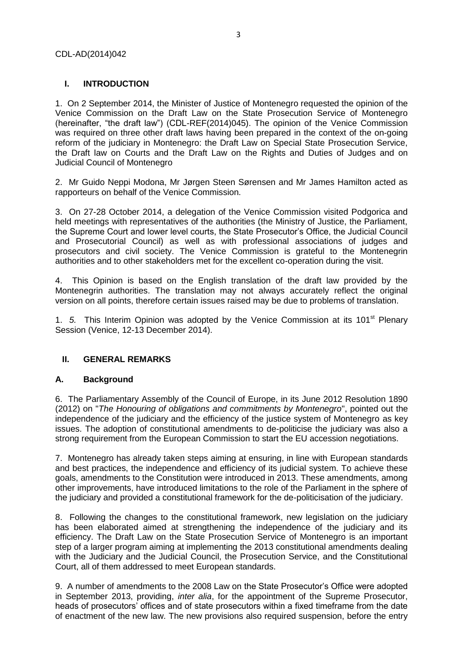## <span id="page-2-0"></span>**I. INTRODUCTION**

1. On 2 September 2014, the Minister of Justice of Montenegro requested the opinion of the Venice Commission on the Draft Law on the State Prosecution Service of Montenegro (hereinafter, "the draft law") (CDL-REF(2014)045). The opinion of the Venice Commission was required on three other draft laws having been prepared in the context of the on-going reform of the judiciary in Montenegro: the Draft Law on Special State Prosecution Service, the Draft law on Courts and the Draft Law on [the Rights and Duties of Judges and on](http://www.venice.coe.int/webforms/documents/?pdf=CDL-REF(2014)044-e)  [Judicial Council of Montenegro](http://www.venice.coe.int/webforms/documents/?pdf=CDL-REF(2014)044-e)

2. Mr Guido Neppi Modona, Mr Jørgen Steen Sørensen and Mr James Hamilton acted as rapporteurs on behalf of the Venice Commission.

3. On 27-28 October 2014, a delegation of the Venice Commission visited Podgorica and held meetings with representatives of the authorities (the Ministry of Justice, the Parliament, the Supreme Court and lower level courts, the State Prosecutor's Office, the Judicial Council and Prosecutorial Council) as well as with professional associations of judges and prosecutors and civil society. The Venice Commission is grateful to the Montenegrin authorities and to other stakeholders met for the excellent co-operation during the visit.

4. This Opinion is based on the English translation of the draft law provided by the Montenegrin authorities. The translation may not always accurately reflect the original version on all points, therefore certain issues raised may be due to problems of translation.

1. 5. This Interim Opinion was adopted by the Venice Commission at its 101<sup>st</sup> Plenary Session (Venice, 12-13 December 2014).

## <span id="page-2-1"></span>**II. GENERAL REMARKS**

## <span id="page-2-2"></span>**A. Background**

6. The Parliamentary Assembly of the Council of Europe, in its June 2012 Resolution 1890 (2012) on "*The Honouring of obligations and commitments by Montenegro*", pointed out the independence of the judiciary and the efficiency of the justice system of Montenegro as key issues. The adoption of constitutional amendments to de-politicise the judiciary was also a strong requirement from the European Commission to start the EU accession negotiations.

7. Montenegro has already taken steps aiming at ensuring, in line with European standards and best practices, the independence and efficiency of its judicial system. To achieve these goals, amendments to the Constitution were introduced in 2013. These amendments, among other improvements, have introduced limitations to the role of the Parliament in the sphere of the judiciary and provided a constitutional framework for the de-politicisation of the judiciary.

8. Following the changes to the constitutional framework, new legislation on the judiciary has been elaborated aimed at strengthening the independence of the judiciary and its efficiency. The Draft Law on the State Prosecution Service of Montenegro is an important step of a larger program aiming at implementing the 2013 constitutional amendments dealing with the Judiciary and the Judicial Council, the Prosecution Service, and the Constitutional Court, all of them addressed to meet European standards.

9. A number of amendments to the 2008 Law on the State Prosecutor's Office were adopted in September 2013, providing, *inter alia*, for the appointment of the Supreme Prosecutor, heads of prosecutors' offices and of state prosecutors within a fixed timeframe from the date of enactment of the new law. The new provisions also required suspension, before the entry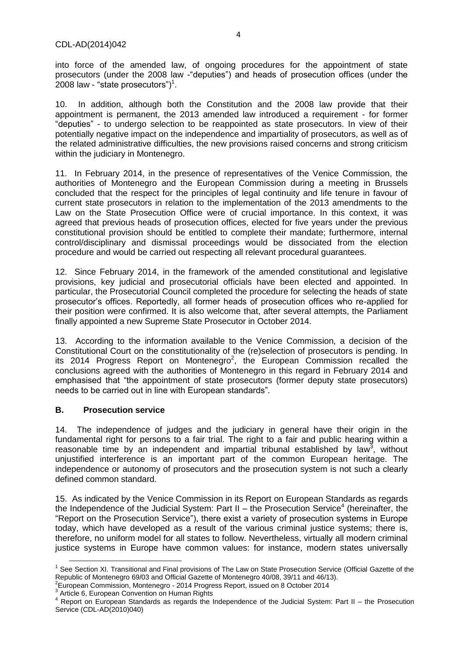into force of the amended law, of ongoing procedures for the appointment of state prosecutors (under the 2008 law -"deputies") and heads of prosecution offices (under the 2008 law - "state prosecutors") $1$ .

10. In addition, although both the Constitution and the 2008 law provide that their appointment is permanent, the 2013 amended law introduced a requirement - for former "deputies" - to undergo selection to be reappointed as state prosecutors. In view of their potentially negative impact on the independence and impartiality of prosecutors, as well as of the related administrative difficulties, the new provisions raised concerns and strong criticism within the judiciary in Montenegro.

11. In February 2014, in the presence of representatives of the Venice Commission, the authorities of Montenegro and the European Commission during a meeting in Brussels concluded that the respect for the principles of legal continuity and life tenure in favour of current state prosecutors in relation to the implementation of the 2013 amendments to the Law on the State Prosecution Office were of crucial importance. In this context, it was agreed that previous heads of prosecution offices, elected for five years under the previous constitutional provision should be entitled to complete their mandate; furthermore, internal control/disciplinary and dismissal proceedings would be dissociated from the election procedure and would be carried out respecting all relevant procedural guarantees.

12. Since February 2014, in the framework of the amended constitutional and legislative provisions, key judicial and prosecutorial officials have been elected and appointed. In particular, the Prosecutorial Council completed the procedure for selecting the heads of state prosecutor's offices. Reportedly, all former heads of prosecution offices who re-applied for their position were confirmed. It is also welcome that, after several attempts, the Parliament finally appointed a new Supreme State Prosecutor in October 2014.

13. According to the information available to the Venice Commission, a decision of the Constitutional Court on the constitutionality of the (re)selection of prosecutors is pending. In its 2014 Progress Report on Montenegro<sup>2</sup>, the European Commission recalled the conclusions agreed with the authorities of Montenegro in this regard in February 2014 and emphasised that "the appointment of state prosecutors (former deputy state prosecutors) needs to be carried out in line with European standards".

## <span id="page-3-0"></span>**B. Prosecution service**

**.** 

14. The independence of judges and the judiciary in general have their origin in the fundamental right for persons to a fair trial. The right to a fair and public hearing within a reasonable time by an independent and impartial tribunal established by law<sup>3</sup>, without unjustified interference is an important part of the common European heritage. The independence or autonomy of prosecutors and the prosecution system is not such a clearly defined common standard.

15. As indicated by the Venice Commission in its Report on European Standards as regards the Independence of the Judicial System: Part II – the Prosecution Service<sup>4</sup> (hereinafter, the "Report on the Prosecution Service"), there exist a variety of prosecution systems in Europe today, which have developed as a result of the various criminal justice systems; there is, therefore, no uniform model for all states to follow. Nevertheless, virtually all modern criminal justice systems in Europe have common values: for instance, modern states universally

<sup>&</sup>lt;sup>1</sup> See Section XI. Transitional and Final provisions of The Law on State Prosecution Service (Official Gazette of the Republic of Montenegro 69/03 and Official Gazette of Montenegro 40/08, 39/11 and 46/13).<br><sup>2</sup>European Commission, Montenegro - 2014 Progress Report, issued on 8 October 2014

<sup>&</sup>lt;sup>3</sup> Article 6, European Convention on Human Rights

<sup>4</sup> Report on European Standards as regards the Independence of the Judicial System: Part II – the Prosecution Service (CDL-AD(2010)040)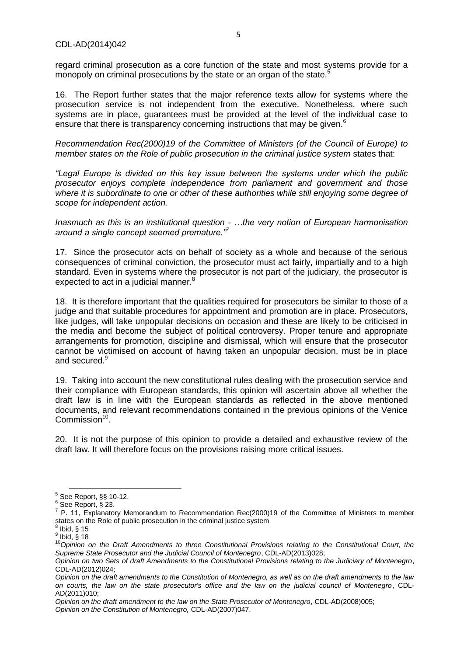regard criminal prosecution as a core function of the state and most systems provide for a monopoly on criminal prosecutions by the state or an organ of the state.<sup>5</sup>

16. The Report further states that the major reference texts allow for systems where the prosecution service is not independent from the executive. Nonetheless, where such systems are in place, guarantees must be provided at the level of the individual case to ensure that there is transparency concerning instructions that may be given.<sup>6</sup>

*Recommendation Rec(2000)19 of the Committee of Ministers (of the Council of Europe) to member states on the Role of public prosecution in the criminal justice system* states that:

*"Legal Europe is divided on this key issue between the systems under which the public prosecutor enjoys complete independence from parliament and government and those where it is subordinate to one or other of these authorities while still enjoying some degree of scope for independent action.*

*Inasmuch as this is an institutional question - …the very notion of European harmonisation around a single concept seemed premature."<sup>7</sup>*

17. Since the prosecutor acts on behalf of society as a whole and because of the serious consequences of criminal conviction, the prosecutor must act fairly, impartially and to a high standard. Even in systems where the prosecutor is not part of the judiciary, the prosecutor is expected to act in a judicial manner. $8$ 

18. It is therefore important that the qualities required for prosecutors be similar to those of a judge and that suitable procedures for appointment and promotion are in place. Prosecutors, like judges, will take unpopular decisions on occasion and these are likely to be criticised in the media and become the subject of political controversy. Proper tenure and appropriate arrangements for promotion, discipline and dismissal, which will ensure that the prosecutor cannot be victimised on account of having taken an unpopular decision, must be in place and secured.<sup>9</sup>

19. Taking into account the new constitutional rules dealing with the prosecution service and their compliance with European standards, this opinion will ascertain above all whether the draft law is in line with the European standards as reflected in the above mentioned documents, and relevant recommendations contained in the previous opinions of the Venice Commission<sup>10</sup>.

20. It is not the purpose of this opinion to provide a detailed and exhaustive review of the draft law. It will therefore focus on the provisions raising more critical issues.

1

 $<sup>5</sup>$  See Report, §§ 10-12.</sup>

 $^6$  See Report,  $\check{\S}$  23.

P. 11, Explanatory Memorandum to Recommendation Rec(2000)19 of the Committee of Ministers to member states on the Role of public prosecution in the criminal justice system 8 Ibid, § 15

 $^9$  Ibid,  $\tilde{\S}$  18

<sup>10&</sup>lt;sup>10</sup>Opinion on the Draft Amendments to three Constitutional Provisions relating to the Constitutional Court, the *Supreme State Prosecutor and the Judicial Council of Montenegro*, CDL-AD(2013)028;

*Opinion on two Sets of draft Amendments to the Constitutional Provisions relating to the Judiciary of Montenegro*, CDL-AD(2012)024;

*Opinion on the draft amendments to the Constitution of Montenegro, as well as on the draft amendments to the law on courts, the law on the state prosecutor's office and the law on the judicial council of Montenegro*, CDL-AD(2011)010;

*Opinion on the draft amendment to the law on the State Prosecutor of Montenegro*, CDL-AD(2008)005; *Opinion on the Constitution of Montenegro,* CDL-AD(2007)047.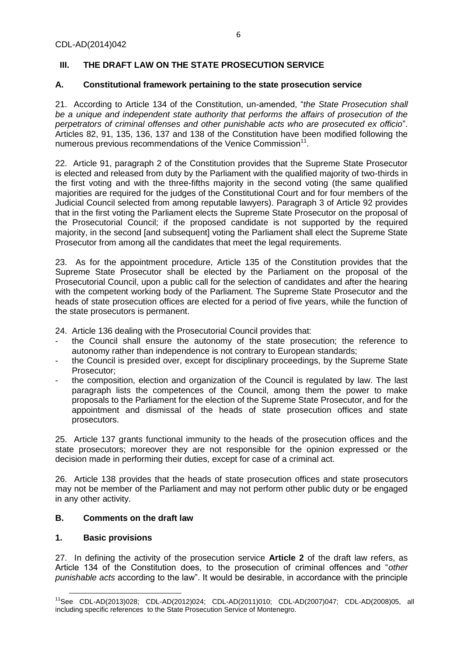## <span id="page-5-0"></span>**III. THE DRAFT LAW ON THE STATE PROSECUTION SERVICE**

## <span id="page-5-1"></span>**A. Constitutional framework pertaining to the state prosecution service**

21. According to Article 134 of the Constitution, un-amended, "*the State Prosecution shall be a unique and independent state authority that performs the affairs of prosecution of the perpetrators of criminal offenses and other punishable acts who are prosecuted ex officio*". Articles 82, 91, 135, 136, 137 and 138 of the Constitution have been modified following the numerous previous recommendations of the Venice Commission<sup>11</sup>.

22. Article 91, paragraph 2 of the Constitution provides that the Supreme State Prosecutor is elected and released from duty by the Parliament with the qualified majority of two-thirds in the first voting and with the three-fifths majority in the second voting (the same qualified majorities are required for the judges of the Constitutional Court and for four members of the Judicial Council selected from among reputable lawyers). Paragraph 3 of Article 92 provides that in the first voting the Parliament elects the Supreme State Prosecutor on the proposal of the Prosecutorial Council; if the proposed candidate is not supported by the required majority, in the second [and subsequent] voting the Parliament shall elect the Supreme State Prosecutor from among all the candidates that meet the legal requirements.

23. As for the appointment procedure, Article 135 of the Constitution provides that the Supreme State Prosecutor shall be elected by the Parliament on the proposal of the Prosecutorial Council, upon a public call for the selection of candidates and after the hearing with the competent working body of the Parliament. The Supreme State Prosecutor and the heads of state prosecution offices are elected for a period of five years, while the function of the state prosecutors is permanent.

24. Article 136 dealing with the Prosecutorial Council provides that:

- the Council shall ensure the autonomy of the state prosecution; the reference to autonomy rather than independence is not contrary to European standards;
- the Council is presided over, except for disciplinary proceedings, by the Supreme State Prosecutor;
- the composition, election and organization of the Council is regulated by law. The last paragraph lists the competences of the Council, among them the power to make proposals to the Parliament for the election of the Supreme State Prosecutor, and for the appointment and dismissal of the heads of state prosecution offices and state prosecutors.

25. Article 137 grants functional immunity to the heads of the prosecution offices and the state prosecutors; moreover they are not responsible for the opinion expressed or the decision made in performing their duties, except for case of a criminal act.

26. Article 138 provides that the heads of state prosecution offices and state prosecutors may not be member of the Parliament and may not perform other public duty or be engaged in any other activity.

## <span id="page-5-2"></span>**B. Comments on the draft law**

## <span id="page-5-3"></span>**1. Basic provisions**

27. In defining the activity of the prosecution service **Article 2** of the draft law refers, as Article 134 of the Constitution does, to the prosecution of criminal offences and "*other punishable acts* according to the law". It would be desirable, in accordance with the principle

**<sup>.</sup>** <sup>11</sup>See CDL-AD(2013)028; CDL-AD(2012)024; CDL-AD(2011)010; CDL-AD(2007)047; CDL-AD(2008)05, all including specific references to the State Prosecution Service of Montenegro.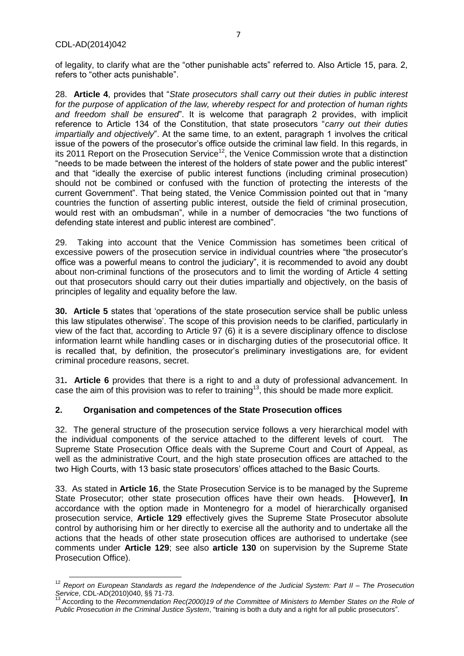of legality, to clarify what are the "other punishable acts" referred to. Also Article 15, para. 2, refers to "other acts punishable".

28. **Article 4**, provides that "*State prosecutors shall carry out their duties in public interest for the purpose of application of the law, whereby respect for and protection of human rights and freedom shall be ensured*". It is welcome that paragraph 2 provides, with implicit reference to Article 134 of the Constitution, that state prosecutors "*carry out their duties impartially and objectively*". At the same time, to an extent, paragraph 1 involves the critical issue of the powers of the prosecutor's office outside the criminal law field. In this regards, in its 2011 Report on the Prosecution Service<sup>12</sup>, the Venice Commission wrote that a distinction "needs to be made between the interest of the holders of state power and the public interest" and that "ideally the exercise of public interest functions (including criminal prosecution) should not be combined or confused with the function of protecting the interests of the current Government". That being stated, the Venice Commission pointed out that in "many countries the function of asserting public interest, outside the field of criminal prosecution, would rest with an ombudsman", while in a number of democracies "the two functions of defending state interest and public interest are combined".

29. Taking into account that the Venice Commission has sometimes been critical of excessive powers of the prosecution service in individual countries where "the prosecutor's office was a powerful means to control the judiciary", it is recommended to avoid any doubt about non-criminal functions of the prosecutors and to limit the wording of Article 4 setting out that prosecutors should carry out their duties impartially and objectively, on the basis of principles of legality and equality before the law.

**30. Article 5** states that 'operations of the state prosecution service shall be public unless this law stipulates otherwise'. The scope of this provision needs to be clarified, particularly in view of the fact that, according to Article 97 (6) it is a severe disciplinary offence to disclose information learnt while handling cases or in discharging duties of the prosecutorial office. It is recalled that, by definition, the prosecutor's preliminary investigations are, for evident criminal procedure reasons, secret.

31**. Article 6** provides that there is a right to and a duty of professional advancement. In case the aim of this provision was to refer to training<sup>13</sup>, this should be made more explicit.

## <span id="page-6-0"></span>**2. Organisation and competences of the State Prosecution offices**

32. The general structure of the prosecution service follows a very hierarchical model with the individual components of the service attached to the different levels of court. The Supreme State Prosecution Office deals with the Supreme Court and Court of Appeal, as well as the administrative Court, and the high state prosecution offices are attached to the two High Courts, with 13 basic state prosecutors' offices attached to the Basic Courts.

33. As stated in **Article 16**, the State Prosecution Service is to be managed by the Supreme State Prosecutor; other state prosecution offices have their own heads. **[**However**]**, **In** accordance with the option made in Montenegro for a model of hierarchically organised prosecution service, **Article 129** effectively gives the Supreme State Prosecutor absolute control by authorising him or her directly to exercise all the authority and to undertake all the actions that the heads of other state prosecution offices are authorised to undertake (see comments under **Article 129**; see also **article 130** on supervision by the Supreme State Prosecution Office).

**<sup>.</sup>** <sup>12</sup> *Report on European Standards as regard the Independence of the Judicial System: Part II – The Prosecution Service, CDL-AD(2010)040, §§ 71-73.*<br><sup>13</sup> Accentive

<sup>13</sup> According to the *Recommendation Rec(2000)19 of the Committee of Ministers to Member States on the Role of Public Prosecution in the Criminal Justice System*, "training is both a duty and a right for all public prosecutors".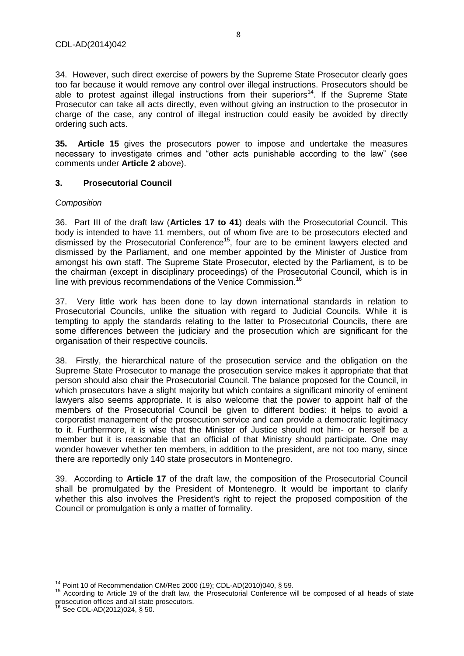34. However, such direct exercise of powers by the Supreme State Prosecutor clearly goes too far because it would remove any control over illegal instructions. Prosecutors should be able to protest against illegal instructions from their superiors<sup>14</sup>. If the Supreme State Prosecutor can take all acts directly, even without giving an instruction to the prosecutor in charge of the case, any control of illegal instruction could easily be avoided by directly ordering such acts.

**35. Article 15** gives the prosecutors power to impose and undertake the measures necessary to investigate crimes and "other acts punishable according to the law" (see comments under **Article 2** above).

## <span id="page-7-0"></span>**3. Prosecutorial Council**

## *Composition*

36. Part III of the draft law (**Articles 17 to 41**) deals with the Prosecutorial Council. This body is intended to have 11 members, out of whom five are to be prosecutors elected and dismissed by the Prosecutorial Conference<sup>15</sup>, four are to be eminent lawyers elected and dismissed by the Parliament, and one member appointed by the Minister of Justice from amongst his own staff. The Supreme State Prosecutor, elected by the Parliament, is to be the chairman (except in disciplinary proceedings) of the Prosecutorial Council, which is in line with previous recommendations of the Venice Commission.<sup>16</sup>

37. Very little work has been done to lay down international standards in relation to Prosecutorial Councils, unlike the situation with regard to Judicial Councils. While it is tempting to apply the standards relating to the latter to Prosecutorial Councils, there are some differences between the judiciary and the prosecution which are significant for the organisation of their respective councils.

38. Firstly, the hierarchical nature of the prosecution service and the obligation on the Supreme State Prosecutor to manage the prosecution service makes it appropriate that that person should also chair the Prosecutorial Council. The balance proposed for the Council, in which prosecutors have a slight majority but which contains a significant minority of eminent lawyers also seems appropriate. It is also welcome that the power to appoint half of the members of the Prosecutorial Council be given to different bodies: it helps to avoid a corporatist management of the prosecution service and can provide a democratic legitimacy to it. Furthermore, it is wise that the Minister of Justice should not him- or herself be a member but it is reasonable that an official of that Ministry should participate. One may wonder however whether ten members, in addition to the president, are not too many, since there are reportedly only 140 state prosecutors in Montenegro.

39. According to **Article 17** of the draft law, the composition of the Prosecutorial Council shall be promulgated by the President of Montenegro. It would be important to clarify whether this also involves the President's right to reject the proposed composition of the Council or promulgation is only a matter of formality.

**<sup>.</sup>** <sup>14</sup> Point 10 of Recommendation CM/Rec 2000 (19); CDL-AD(2010)040, § 59.

<sup>&</sup>lt;sup>15</sup> According to Article 19 of the draft law, the Prosecutorial Conference will be composed of all heads of state prosecution offices and all state prosecutors.

<sup>&</sup>lt;sup>16</sup> See CDL-AD(2012)024, § 50.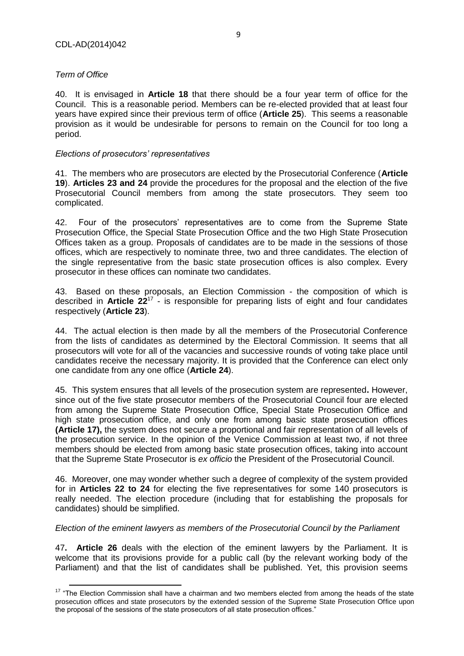## *Term of Office*

40. It is envisaged in **Article 18** that there should be a four year term of office for the Council. This is a reasonable period. Members can be re-elected provided that at least four years have expired since their previous term of office (**Article 25**). This seems a reasonable provision as it would be undesirable for persons to remain on the Council for too long a period.

#### *Elections of prosecutors' representatives*

41. The members who are prosecutors are elected by the Prosecutorial Conference (**Article 19**). **Articles 23 and 24** provide the procedures for the proposal and the election of the five Prosecutorial Council members from among the state prosecutors. They seem too complicated.

42. Four of the prosecutors' representatives are to come from the Supreme State Prosecution Office, the Special State Prosecution Office and the two High State Prosecution Offices taken as a group. Proposals of candidates are to be made in the sessions of those offices, which are respectively to nominate three, two and three candidates. The election of the single representative from the basic state prosecution offices is also complex. Every prosecutor in these offices can nominate two candidates.

43. Based on these proposals, an Election Commission - the composition of which is described in **Article 22**<sup>17</sup> - is responsible for preparing lists of eight and four candidates respectively (**Article 23**).

44. The actual election is then made by all the members of the Prosecutorial Conference from the lists of candidates as determined by the Electoral Commission. It seems that all prosecutors will vote for all of the vacancies and successive rounds of voting take place until candidates receive the necessary majority. It is provided that the Conference can elect only one candidate from any one office (**Article 24**).

45. This system ensures that all levels of the prosecution system are represented**.** However, since out of the five state prosecutor members of the Prosecutorial Council four are elected from among the Supreme State Prosecution Office, Special State Prosecution Office and high state prosecution office, and only one from among basic state prosecution offices **(Article 17),** the system does not secure a proportional and fair representation of all levels of the prosecution service. In the opinion of the Venice Commission at least two, if not three members should be elected from among basic state prosecution offices, taking into account that the Supreme State Prosecutor is *ex officio* the President of the Prosecutorial Council.

46. Moreover, one may wonder whether such a degree of complexity of the system provided for in **Articles 22 to 24** for electing the five representatives for some 140 prosecutors is really needed. The election procedure (including that for establishing the proposals for candidates) should be simplified.

## *Election of the eminent lawyers as members of the Prosecutorial Council by the Parliament*

47**. Article 26** deals with the election of the eminent lawyers by the Parliament. It is welcome that its provisions provide for a public call (by the relevant working body of the Parliament) and that the list of candidates shall be published. Yet, this provision seems

 $\overline{\phantom{a}}$  $17$  "The Election Commission shall have a chairman and two members elected from among the heads of the state prosecution offices and state prosecutors by the extended session of the Supreme State Prosecution Office upon the proposal of the sessions of the state prosecutors of all state prosecution offices."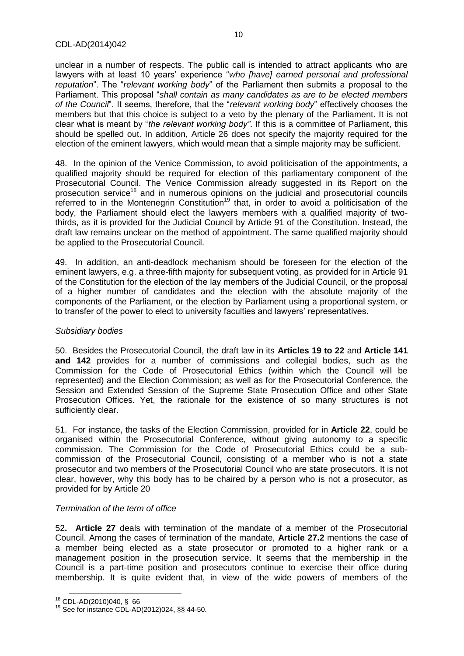unclear in a number of respects. The public call is intended to attract applicants who are lawyers with at least 10 years' experience "*who [have] earned personal and professional reputation*". The "*relevant working body*" of the Parliament then submits a proposal to the Parliament. This proposal "*shall contain as many candidates as are to be elected members of the Council*". It seems, therefore, that the "*relevant working body*" effectively chooses the members but that this choice is subject to a veto by the plenary of the Parliament. It is not clear what is meant by "*the relevant working body"*. If this is a committee of Parliament, this should be spelled out. In addition, Article 26 does not specify the majority required for the election of the eminent lawyers, which would mean that a simple majority may be sufficient.

48. In the opinion of the Venice Commission, to avoid politicisation of the appointments, a qualified majority should be required for election of this parliamentary component of the Prosecutorial Council. The Venice Commission already suggested in its Report on the prosecution service<sup>18</sup> and in numerous opinions on the judicial and prosecutorial councils referred to in the Montenegrin Constitution<sup>19</sup> that, in order to avoid a politicisation of the body, the Parliament should elect the lawyers members with a qualified majority of twothirds, as it is provided for the Judicial Council by Article 91 of the Constitution. Instead, the draft law remains unclear on the method of appointment. The same qualified majority should be applied to the Prosecutorial Council.

49. In addition, an anti-deadlock mechanism should be foreseen for the election of the eminent lawyers, e.g. a three-fifth majority for subsequent voting, as provided for in Article 91 of the Constitution for the election of the lay members of the Judicial Council, or the proposal of a higher number of candidates and the election with the absolute majority of the components of the Parliament, or the election by Parliament using a proportional system, or to transfer of the power to elect to university faculties and lawyers' representatives.

#### *Subsidiary bodies*

50. Besides the Prosecutorial Council, the draft law in its **Articles 19 to 22** and **Article 141 and 142** provides for a number of commissions and collegial bodies, such as the Commission for the Code of Prosecutorial Ethics (within which the Council will be represented) and the Election Commission; as well as for the Prosecutorial Conference, the Session and Extended Session of the Supreme State Prosecution Office and other State Prosecution Offices. Yet, the rationale for the existence of so many structures is not sufficiently clear.

51. For instance, the tasks of the Election Commission, provided for in **Article 22**, could be organised within the Prosecutorial Conference, without giving autonomy to a specific commission. The Commission for the Code of Prosecutorial Ethics could be a subcommission of the Prosecutorial Council, consisting of a member who is not a state prosecutor and two members of the Prosecutorial Council who are state prosecutors. It is not clear, however, why this body has to be chaired by a person who is not a prosecutor, as provided for by Article 20

#### *Termination of the term of office*

52**. Article 27** deals with termination of the mandate of a member of the Prosecutorial Council. Among the cases of termination of the mandate, **Article 27.2** mentions the case of a member being elected as a state prosecutor or promoted to a higher rank or a management position in the prosecution service. It seems that the membership in the Council is a part-time position and prosecutors continue to exercise their office during membership. It is quite evident that, in view of the wide powers of members of the

**<sup>.</sup>** <sup>18</sup> CDL-AD(2010)040, § 66

<sup>19</sup> See for instance CDL-AD(2012)024, §§ 44-50.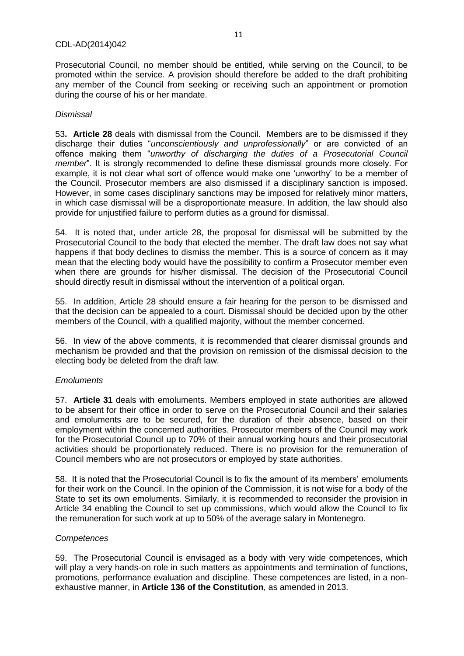Prosecutorial Council, no member should be entitled, while serving on the Council, to be promoted within the service. A provision should therefore be added to the draft prohibiting any member of the Council from seeking or receiving such an appointment or promotion during the course of his or her mandate.

## *Dismissal*

53**. Article 28** deals with dismissal from the Council. Members are to be dismissed if they discharge their duties "*unconscientiously and unprofessionally*" or are convicted of an offence making them "*unworthy of discharging the duties of a Prosecutorial Council member*". It is strongly recommended to define these dismissal grounds more closely. For example, it is not clear what sort of offence would make one 'unworthy' to be a member of the Council. Prosecutor members are also dismissed if a disciplinary sanction is imposed. However, in some cases disciplinary sanctions may be imposed for relatively minor matters, in which case dismissal will be a disproportionate measure. In addition, the law should also provide for unjustified failure to perform duties as a ground for dismissal.

54. It is noted that, under article 28, the proposal for dismissal will be submitted by the Prosecutorial Council to the body that elected the member. The draft law does not say what happens if that body declines to dismiss the member. This is a source of concern as it may mean that the electing body would have the possibility to confirm a Prosecutor member even when there are grounds for his/her dismissal. The decision of the Prosecutorial Council should directly result in dismissal without the intervention of a political organ.

55. In addition, Article 28 should ensure a fair hearing for the person to be dismissed and that the decision can be appealed to a court. Dismissal should be decided upon by the other members of the Council, with a qualified majority, without the member concerned.

56. In view of the above comments, it is recommended that clearer dismissal grounds and mechanism be provided and that the provision on remission of the dismissal decision to the electing body be deleted from the draft law.

## *Emoluments*

57. **Article 31** deals with emoluments. Members employed in state authorities are allowed to be absent for their office in order to serve on the Prosecutorial Council and their salaries and emoluments are to be secured, for the duration of their absence, based on their employment within the concerned authorities. Prosecutor members of the Council may work for the Prosecutorial Council up to 70% of their annual working hours and their prosecutorial activities should be proportionately reduced. There is no provision for the remuneration of Council members who are not prosecutors or employed by state authorities.

58. It is noted that the Prosecutorial Council is to fix the amount of its members' emoluments for their work on the Council. In the opinion of the Commission, it is not wise for a body of the State to set its own emoluments. Similarly, it is recommended to reconsider the provision in Article 34 enabling the Council to set up commissions, which would allow the Council to fix the remuneration for such work at up to 50% of the average salary in Montenegro.

## *Competences*

59. The Prosecutorial Council is envisaged as a body with very wide competences, which will play a very hands-on role in such matters as appointments and termination of functions, promotions, performance evaluation and discipline. These competences are listed, in a nonexhaustive manner, in **Article 136 of the Constitution**, as amended in 2013.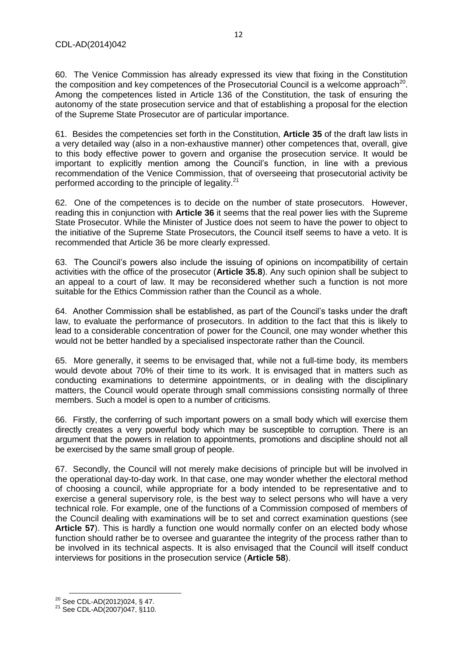60. The Venice Commission has already expressed its view that fixing in the Constitution the composition and key competences of the Prosecutorial Council is a welcome approach<sup>20</sup>. Among the competences listed in Article 136 of the Constitution, the task of ensuring the autonomy of the state prosecution service and that of establishing a proposal for the election of the Supreme State Prosecutor are of particular importance.

61. Besides the competencies set forth in the Constitution, **Article 35** of the draft law lists in a very detailed way (also in a non-exhaustive manner) other competences that, overall, give to this body effective power to govern and organise the prosecution service. It would be important to explicitly mention among the Council's function, in line with a previous recommendation of the Venice Commission, that of overseeing that prosecutorial activity be performed according to the principle of legality.<sup>21</sup>

62. One of the competences is to decide on the number of state prosecutors. However, reading this in conjunction with **Article 36** it seems that the real power lies with the Supreme State Prosecutor. While the Minister of Justice does not seem to have the power to object to the initiative of the Supreme State Prosecutors, the Council itself seems to have a veto. It is recommended that Article 36 be more clearly expressed.

63. The Council's powers also include the issuing of opinions on incompatibility of certain activities with the office of the prosecutor (**Article 35.8**). Any such opinion shall be subject to an appeal to a court of law. It may be reconsidered whether such a function is not more suitable for the Ethics Commission rather than the Council as a whole.

64. Another Commission shall be established, as part of the Council's tasks under the draft law, to evaluate the performance of prosecutors. In addition to the fact that this is likely to lead to a considerable concentration of power for the Council, one may wonder whether this would not be better handled by a specialised inspectorate rather than the Council.

65. More generally, it seems to be envisaged that, while not a full-time body, its members would devote about 70% of their time to its work. It is envisaged that in matters such as conducting examinations to determine appointments, or in dealing with the disciplinary matters, the Council would operate through small commissions consisting normally of three members. Such a model is open to a number of criticisms.

66. Firstly, the conferring of such important powers on a small body which will exercise them directly creates a very powerful body which may be susceptible to corruption. There is an argument that the powers in relation to appointments, promotions and discipline should not all be exercised by the same small group of people.

67. Secondly, the Council will not merely make decisions of principle but will be involved in the operational day-to-day work. In that case, one may wonder whether the electoral method of choosing a council, while appropriate for a body intended to be representative and to exercise a general supervisory role, is the best way to select persons who will have a very technical role. For example, one of the functions of a Commission composed of members of the Council dealing with examinations will be to set and correct examination questions (see Article 57). This is hardly a function one would normally confer on an elected body whose function should rather be to oversee and guarantee the integrity of the process rather than to be involved in its technical aspects. It is also envisaged that the Council will itself conduct interviews for positions in the prosecution service (**Article 58**).

**.** 

<sup>&</sup>lt;sup>20</sup> See CDL-AD(2012)024, § 47.

<sup>21</sup> See CDL-AD(2007)047, §110.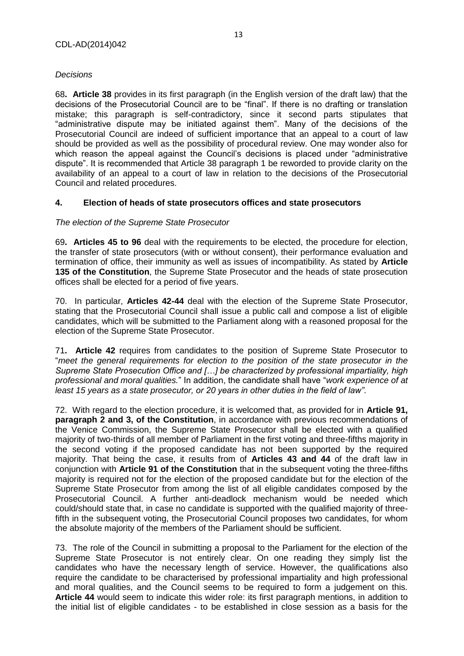## *Decisions*

68**. Article 38** provides in its first paragraph (in the English version of the draft law) that the decisions of the Prosecutorial Council are to be "final". If there is no drafting or translation mistake; this paragraph is self-contradictory, since it second parts stipulates that "administrative dispute may be initiated against them". Many of the decisions of the Prosecutorial Council are indeed of sufficient importance that an appeal to a court of law should be provided as well as the possibility of procedural review. One may wonder also for which reason the appeal against the Council's decisions is placed under "administrative dispute". It is recommended that Article 38 paragraph 1 be reworded to provide clarity on the availability of an appeal to a court of law in relation to the decisions of the Prosecutorial Council and related procedures.

## <span id="page-12-0"></span>**4. Election of heads of state prosecutors offices and state prosecutors**

## *The election of the Supreme State Prosecutor*

69**. Articles 45 to 96** deal with the requirements to be elected, the procedure for election, the transfer of state prosecutors (with or without consent), their performance evaluation and termination of office, their immunity as well as issues of incompatibility. As stated by **Article 135 of the Constitution**, the Supreme State Prosecutor and the heads of state prosecution offices shall be elected for a period of five years.

70. In particular, **Articles 42-44** deal with the election of the Supreme State Prosecutor, stating that the Prosecutorial Council shall issue a public call and compose a list of eligible candidates, which will be submitted to the Parliament along with a reasoned proposal for the election of the Supreme State Prosecutor.

71**. Article 42** requires from candidates to the position of Supreme State Prosecutor to "*meet the general requirements for election to the position of the state prosecutor in the Supreme State Prosecution Office and […] be characterized by professional impartiality, high professional and moral qualities.*" In addition, the candidate shall have "*work experience of at least 15 years as a state prosecutor, or 20 years in other duties in the field of law"*.

72. With regard to the election procedure, it is welcomed that, as provided for in **Article 91, paragraph 2 and 3, of the Constitution**, in accordance with previous recommendations of the Venice Commission, the Supreme State Prosecutor shall be elected with a qualified majority of two-thirds of all member of Parliament in the first voting and three-fifths majority in the second voting if the proposed candidate has not been supported by the required majority. That being the case, it results from of **Articles 43 and 44** of the draft law in conjunction with **Article 91 of the Constitution** that in the subsequent voting the three-fifths majority is required not for the election of the proposed candidate but for the election of the Supreme State Prosecutor from among the list of all eligible candidates composed by the Prosecutorial Council. A further anti-deadlock mechanism would be needed which could/should state that, in case no candidate is supported with the qualified majority of threefifth in the subsequent voting, the Prosecutorial Council proposes two candidates, for whom the absolute majority of the members of the Parliament should be sufficient.

73. The role of the Council in submitting a proposal to the Parliament for the election of the Supreme State Prosecutor is not entirely clear. On one reading they simply list the candidates who have the necessary length of service. However, the qualifications also require the candidate to be characterised by professional impartiality and high professional and moral qualities, and the Council seems to be required to form a judgement on this. **Article 44** would seem to indicate this wider role: its first paragraph mentions, in addition to the initial list of eligible candidates - to be established in close session as a basis for the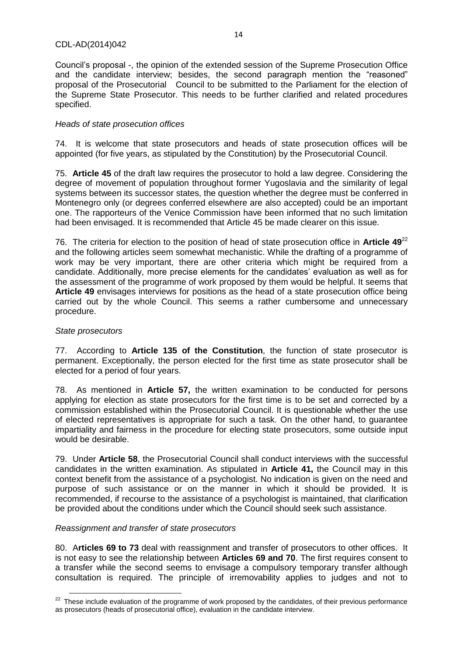Council's proposal -, the opinion of the extended session of the Supreme Prosecution Office and the candidate interview; besides, the second paragraph mention the "reasoned" proposal of the Prosecutorial Council to be submitted to the Parliament for the election of the Supreme State Prosecutor. This needs to be further clarified and related procedures specified.

## *Heads of state prosecution offices*

74. It is welcome that state prosecutors and heads of state prosecution offices will be appointed (for five years, as stipulated by the Constitution) by the Prosecutorial Council.

75. **Article 45** of the draft law requires the prosecutor to hold a law degree. Considering the degree of movement of population throughout former Yugoslavia and the similarity of legal systems between its successor states, the question whether the degree must be conferred in Montenegro only (or degrees conferred elsewhere are also accepted) could be an important one. The rapporteurs of the Venice Commission have been informed that no such limitation had been envisaged. It is recommended that Article 45 be made clearer on this issue.

76. The criteria for election to the position of head of state prosecution office in **Article 49**<sup>22</sup> and the following articles seem somewhat mechanistic. While the drafting of a programme of work may be very important, there are other criteria which might be required from a candidate. Additionally, more precise elements for the candidates' evaluation as well as for the assessment of the programme of work proposed by them would be helpful. It seems that **Article 49** envisages interviews for positions as the head of a state prosecution office being carried out by the whole Council. This seems a rather cumbersome and unnecessary procedure.

## *State prosecutors*

77. According to **Article 135 of the Constitution**, the function of state prosecutor is permanent. Exceptionally, the person elected for the first time as state prosecutor shall be elected for a period of four years.

78. As mentioned in **Article 57,** the written examination to be conducted for persons applying for election as state prosecutors for the first time is to be set and corrected by a commission established within the Prosecutorial Council. It is questionable whether the use of elected representatives is appropriate for such a task. On the other hand, to guarantee impartiality and fairness in the procedure for electing state prosecutors, some outside input would be desirable.

79. Under **Article 58**, the Prosecutorial Council shall conduct interviews with the successful candidates in the written examination. As stipulated in **Article 41,** the Council may in this context benefit from the assistance of a psychologist. No indication is given on the need and purpose of such assistance or on the manner in which it should be provided. It is recommended, if recourse to the assistance of a psychologist is maintained, that clarification be provided about the conditions under which the Council should seek such assistance.

## *Reassignment and transfer of state prosecutors*

80. A**rticles 69 to 73** deal with reassignment and transfer of prosecutors to other offices. It is not easy to see the relationship between **Articles 69 and 70**. The first requires consent to a transfer while the second seems to envisage a compulsory temporary transfer although consultation is required. The principle of irremovability applies to judges and not to

**<sup>.</sup>**  $22$  These include evaluation of the programme of work proposed by the candidates, of their previous performance as prosecutors (heads of prosecutorial office), evaluation in the candidate interview.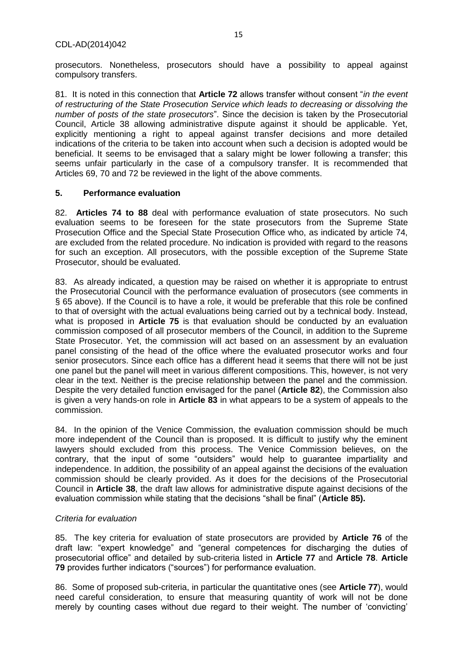prosecutors. Nonetheless, prosecutors should have a possibility to appeal against compulsory transfers.

81. It is noted in this connection that **Article 72** allows transfer without consent "*in the event of restructuring of the State Prosecution Service which leads to decreasing or dissolving the number of posts of the state prosecutors*". Since the decision is taken by the Prosecutorial Council, Article 38 allowing administrative dispute against it should be applicable. Yet, explicitly mentioning a right to appeal against transfer decisions and more detailed indications of the criteria to be taken into account when such a decision is adopted would be beneficial. It seems to be envisaged that a salary might be lower following a transfer; this seems unfair particularly in the case of a compulsory transfer. It is recommended that Articles 69, 70 and 72 be reviewed in the light of the above comments.

## <span id="page-14-0"></span>**5. Performance evaluation**

82. **Articles 74 to 88** deal with performance evaluation of state prosecutors. No such evaluation seems to be foreseen for the state prosecutors from the Supreme State Prosecution Office and the Special State Prosecution Office who, as indicated by article 74, are excluded from the related procedure. No indication is provided with regard to the reasons for such an exception. All prosecutors, with the possible exception of the Supreme State Prosecutor, should be evaluated.

83. As already indicated, a question may be raised on whether it is appropriate to entrust the Prosecutorial Council with the performance evaluation of prosecutors (see comments in § 65 above). If the Council is to have a role, it would be preferable that this role be confined to that of oversight with the actual evaluations being carried out by a technical body. Instead, what is proposed in **Article 75** is that evaluation should be conducted by an evaluation commission composed of all prosecutor members of the Council, in addition to the Supreme State Prosecutor. Yet, the commission will act based on an assessment by an evaluation panel consisting of the head of the office where the evaluated prosecutor works and four senior prosecutors. Since each office has a different head it seems that there will not be just one panel but the panel will meet in various different compositions. This, however, is not very clear in the text. Neither is the precise relationship between the panel and the commission. Despite the very detailed function envisaged for the panel (**Article 82**), the Commission also is given a very hands-on role in **Article 83** in what appears to be a system of appeals to the commission.

84. In the opinion of the Venice Commission, the evaluation commission should be much more independent of the Council than is proposed. It is difficult to justify why the eminent lawyers should excluded from this process. The Venice Commission believes, on the contrary, that the input of some "outsiders" would help to guarantee impartiality and independence. In addition, the possibility of an appeal against the decisions of the evaluation commission should be clearly provided. As it does for the decisions of the Prosecutorial Council in **Article 38**, the draft law allows for administrative dispute against decisions of the evaluation commission while stating that the decisions "shall be final" (**Article 85).**

## *Criteria for evaluation*

85. The key criteria for evaluation of state prosecutors are provided by **Article 76** of the draft law: "expert knowledge" and "general competences for discharging the duties of prosecutorial office" and detailed by sub-criteria listed in **Article 77** and **Article 78**. **Article 79** provides further indicators ("sources") for performance evaluation.

86. Some of proposed sub-criteria, in particular the quantitative ones (see **Article 77**), would need careful consideration, to ensure that measuring quantity of work will not be done merely by counting cases without due regard to their weight. The number of 'convicting'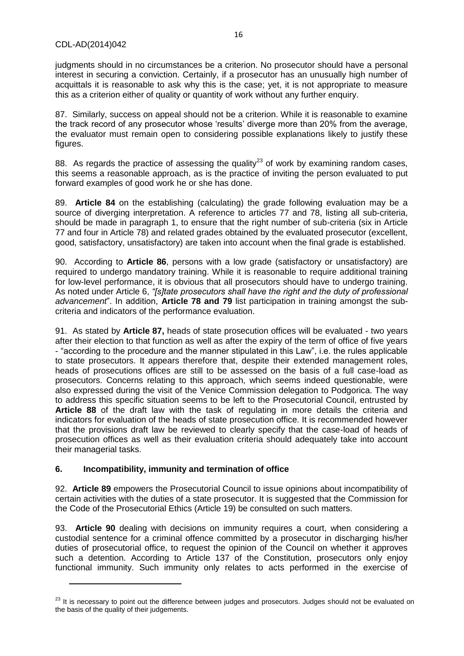judgments should in no circumstances be a criterion. No prosecutor should have a personal interest in securing a conviction. Certainly, if a prosecutor has an unusually high number of acquittals it is reasonable to ask why this is the case; yet, it is not appropriate to measure this as a criterion either of quality or quantity of work without any further enquiry.

87. Similarly, success on appeal should not be a criterion. While it is reasonable to examine the track record of any prosecutor whose 'results' diverge more than 20% from the average, the evaluator must remain open to considering possible explanations likely to justify these figures.

88. As regards the practice of assessing the quality<sup>23</sup> of work by examining random cases, this seems a reasonable approach, as is the practice of inviting the person evaluated to put forward examples of good work he or she has done.

89. **Article 84** on the establishing (calculating) the grade following evaluation may be a source of diverging interpretation. A reference to articles 77 and 78, listing all sub-criteria, should be made in paragraph 1, to ensure that the right number of sub-criteria (six in Article 77 and four in Article 78) and related grades obtained by the evaluated prosecutor (excellent, good, satisfactory, unsatisfactory) are taken into account when the final grade is established.

90. According to **Article 86**, persons with a low grade (satisfactory or unsatisfactory) are required to undergo mandatory training. While it is reasonable to require additional training for low-level performance, it is obvious that all prosecutors should have to undergo training. As noted under Article 6, *"[s]tate prosecutors shall have the right and the duty of professional advancement*". In addition, **Article 78 and 79** list participation in training amongst the subcriteria and indicators of the performance evaluation.

91. As stated by **Article 87,** heads of state prosecution offices will be evaluated - two years after their election to that function as well as after the expiry of the term of office of five years - "according to the procedure and the manner stipulated in this Law", i.e. the rules applicable to state prosecutors. It appears therefore that, despite their extended management roles, heads of prosecutions offices are still to be assessed on the basis of a full case-load as prosecutors. Concerns relating to this approach, which seems indeed questionable, were also expressed during the visit of the Venice Commission delegation to Podgorica. The way to address this specific situation seems to be left to the Prosecutorial Council, entrusted by **Article 88** of the draft law with the task of regulating in more details the criteria and indicators for evaluation of the heads of state prosecution office. It is recommended however that the provisions draft law be reviewed to clearly specify that the case-load of heads of prosecution offices as well as their evaluation criteria should adequately take into account their managerial tasks.

## <span id="page-15-0"></span>**6. Incompatibility, immunity and termination of office**

**.** 

92. **Article 89** empowers the Prosecutorial Council to issue opinions about incompatibility of certain activities with the duties of a state prosecutor. It is suggested that the Commission for the Code of the Prosecutorial Ethics (Article 19) be consulted on such matters.

93. **Article 90** dealing with decisions on immunity requires a court, when considering a custodial sentence for a criminal offence committed by a prosecutor in discharging his/her duties of prosecutorial office, to request the opinion of the Council on whether it approves such a detention. According to Article 137 of the Constitution, prosecutors only enjoy functional immunity. Such immunity only relates to acts performed in the exercise of

<sup>&</sup>lt;sup>23</sup> It is necessary to point out the difference between judges and prosecutors. Judges should not be evaluated on the basis of the quality of their judgements.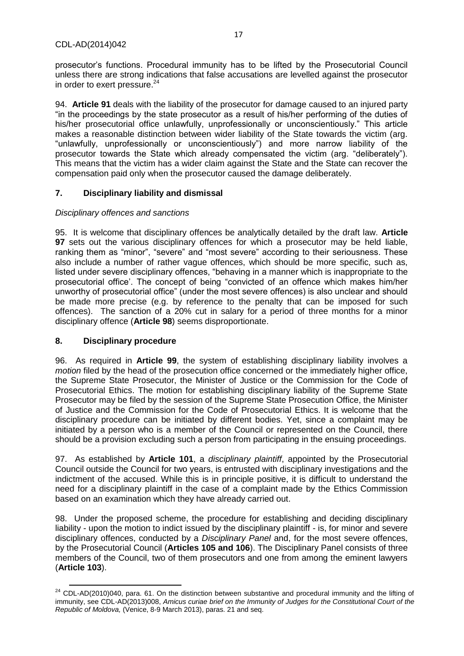prosecutor's functions. Procedural immunity has to be lifted by the Prosecutorial Council unless there are strong indications that false accusations are levelled against the prosecutor in order to exert pressure. $24$ 

94. **Article 91** deals with the liability of the prosecutor for damage caused to an injured party "in the proceedings by the state prosecutor as a result of his/her performing of the duties of his/her prosecutorial office unlawfully, unprofessionally or unconscientiously." This article makes a reasonable distinction between wider liability of the State towards the victim (arg. "unlawfully, unprofessionally or unconscientiously") and more narrow liability of the prosecutor towards the State which already compensated the victim (arg. "deliberately"). This means that the victim has a wider claim against the State and the State can recover the compensation paid only when the prosecutor caused the damage deliberately.

## <span id="page-16-0"></span>**7. Disciplinary liability and dismissal**

## *Disciplinary offences and sanctions*

95. It is welcome that disciplinary offences be analytically detailed by the draft law. **Article 97** sets out the various disciplinary offences for which a prosecutor may be held liable, ranking them as "minor", "severe" and "most severe" according to their seriousness. These also include a number of rather vague offences, which should be more specific, such as, listed under severe disciplinary offences, "behaving in a manner which is inappropriate to the prosecutorial office'. The concept of being "convicted of an offence which makes him/her unworthy of prosecutorial office" (under the most severe offences) is also unclear and should be made more precise (e.g. by reference to the penalty that can be imposed for such offences). The sanction of a 20% cut in salary for a period of three months for a minor disciplinary offence (**Article 98**) seems disproportionate.

## <span id="page-16-1"></span>**8. Disciplinary procedure**

96. As required in **Article 99**, the system of establishing disciplinary liability involves a *motion* filed by the head of the prosecution office concerned or the immediately higher office, the Supreme State Prosecutor, the Minister of Justice or the Commission for the Code of Prosecutorial Ethics. The motion for establishing disciplinary liability of the Supreme State Prosecutor may be filed by the session of the Supreme State Prosecution Office, the Minister of Justice and the Commission for the Code of Prosecutorial Ethics. It is welcome that the disciplinary procedure can be initiated by different bodies. Yet, since a complaint may be initiated by a person who is a member of the Council or represented on the Council, there should be a provision excluding such a person from participating in the ensuing proceedings.

97. As established by **Article 101**, a *disciplinary plaintiff*, appointed by the Prosecutorial Council outside the Council for two years, is entrusted with disciplinary investigations and the indictment of the accused. While this is in principle positive, it is difficult to understand the need for a disciplinary plaintiff in the case of a complaint made by the Ethics Commission based on an examination which they have already carried out.

98. Under the proposed scheme, the procedure for establishing and deciding disciplinary liability - upon the motion to indict issued by the disciplinary plaintiff - is, for minor and severe disciplinary offences, conducted by a *Disciplinary Panel* and, for the most severe offences, by the Prosecutorial Council (**Articles 105 and 106**). The Disciplinary Panel consists of three members of the Council, two of them prosecutors and one from among the eminent lawyers (**Article 103**).

 $\overline{\phantom{a}}$  $24$  CDL-AD(2010)040, para. 61. On the distinction between substantive and procedural immunity and the lifting of immunity, see CDL-AD(2013)008, *Amicus curiae brief on the Immunity of Judges for the Constitutional Court of the Republic of Moldova,* (Venice, 8-9 March 2013), paras. 21 and seq.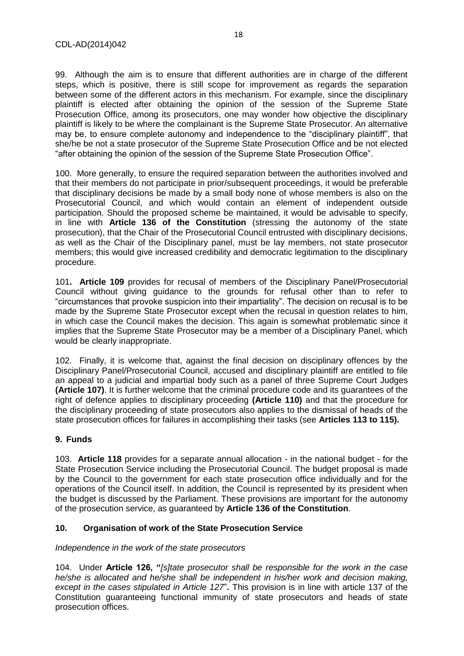99. Although the aim is to ensure that different authorities are in charge of the different steps, which is positive, there is still scope for improvement as regards the separation between some of the different actors in this mechanism. For example, since the disciplinary plaintiff is elected after obtaining the opinion of the session of the Supreme State Prosecution Office, among its prosecutors, one may wonder how objective the disciplinary plaintiff is likely to be where the complainant is the Supreme State Prosecutor. An alternative may be, to ensure complete autonomy and independence to the "disciplinary plaintiff", that she/he be not a state prosecutor of the Supreme State Prosecution Office and be not elected "after obtaining the opinion of the session of the Supreme State Prosecution Office".

100. More generally, to ensure the required separation between the authorities involved and that their members do not participate in prior/subsequent proceedings, it would be preferable that disciplinary decisions be made by a small body none of whose members is also on the Prosecutorial Council, and which would contain an element of independent outside participation. Should the proposed scheme be maintained, it would be advisable to specify, in line with **Article 136 of the Constitution** (stressing the autonomy of the state prosecution), that the Chair of the Prosecutorial Council entrusted with disciplinary decisions, as well as the Chair of the Disciplinary panel, must be lay members, not state prosecutor members; this would give increased credibility and democratic legitimation to the disciplinary procedure.

101**. Article 109** provides for recusal of members of the Disciplinary Panel/Prosecutorial Council without giving guidance to the grounds for refusal other than to refer to "circumstances that provoke suspicion into their impartiality". The decision on recusal is to be made by the Supreme State Prosecutor except when the recusal in question relates to him, in which case the Council makes the decision. This again is somewhat problematic since it implies that the Supreme State Prosecutor may be a member of a Disciplinary Panel, which would be clearly inappropriate.

102. Finally, it is welcome that, against the final decision on disciplinary offences by the Disciplinary Panel/Prosecutorial Council, accused and disciplinary plaintiff are entitled to file an appeal to a judicial and impartial body such as a panel of three Supreme Court Judges **(Article 107)**. It is further welcome that the criminal procedure code and its guarantees of the right of defence applies to disciplinary proceeding **(Article 110)** and that the procedure for the disciplinary proceeding of state prosecutors also applies to the dismissal of heads of the state prosecution offices for failures in accomplishing their tasks (see **Articles 113 to 115).**

## <span id="page-17-0"></span>**9. Funds**

103. **Article 118** provides for a separate annual allocation - in the national budget - for the State Prosecution Service including the Prosecutorial Council. The budget proposal is made by the Council to the government for each state prosecution office individually and for the operations of the Council itself. In addition, the Council is represented by its president when the budget is discussed by the Parliament. These provisions are important for the autonomy of the prosecution service, as guaranteed by **Article 136 of the Constitution**.

## <span id="page-17-1"></span>**10. Organisation of work of the State Prosecution Service**

## *Independence in the work of the state prosecutors*

104. Under **Article 126, "***[s]tate prosecutor shall be responsible for the work in the case*  he/she is allocated and he/she shall be independent in his/her work and decision making, *except in the cases stipulated in Article 127*"**.** This provision is in line with article 137 of the Constitution guaranteeing functional immunity of state prosecutors and heads of state prosecution offices.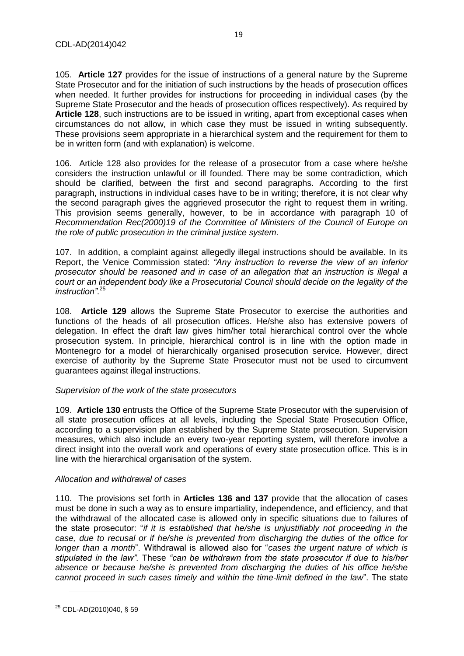105. **Article 127** provides for the issue of instructions of a general nature by the Supreme State Prosecutor and for the initiation of such instructions by the heads of prosecution offices when needed. It further provides for instructions for proceeding in individual cases (by the Supreme State Prosecutor and the heads of prosecution offices respectively). As required by **Article 128**, such instructions are to be issued in writing, apart from exceptional cases when circumstances do not allow, in which case they must be issued in writing subsequently. These provisions seem appropriate in a hierarchical system and the requirement for them to be in written form (and with explanation) is welcome.

106. Article 128 also provides for the release of a prosecutor from a case where he/she considers the instruction unlawful or ill founded. There may be some contradiction, which should be clarified, between the first and second paragraphs. According to the first paragraph, instructions in individual cases have to be in writing; therefore, it is not clear why the second paragraph gives the aggrieved prosecutor the right to request them in writing. This provision seems generally, however, to be in accordance with paragraph 10 of *Recommendation Rec(2000)19 of the Committee of Ministers of the Council of Europe on the role of public prosecution in the criminal justice system*.

107. In addition, a complaint against allegedly illegal instructions should be available. In its Report, the Venice Commission stated: *"Any instruction to reverse the view of an inferior prosecutor should be reasoned and in case of an allegation that an instruction is illegal a court or an independent body like a Prosecutorial Council should decide on the legality of the instruction"*. 25

108. **Article 129** allows the Supreme State Prosecutor to exercise the authorities and functions of the heads of all prosecution offices. He/she also has extensive powers of delegation. In effect the draft law gives him/her total hierarchical control over the whole prosecution system. In principle, hierarchical control is in line with the option made in Montenegro for a model of hierarchically organised prosecution service. However, direct exercise of authority by the Supreme State Prosecutor must not be used to circumvent guarantees against illegal instructions.

#### *Supervision of the work of the state prosecutors*

109. **Article 130** entrusts the Office of the Supreme State Prosecutor with the supervision of all state prosecution offices at all levels, including the Special State Prosecution Office, according to a supervision plan established by the Supreme State prosecution. Supervision measures, which also include an every two-year reporting system, will therefore involve a direct insight into the overall work and operations of every state prosecution office. This is in line with the hierarchical organisation of the system.

#### *Allocation and withdrawal of cases*

110. The provisions set forth in **Articles 136 and 137** provide that the allocation of cases must be done in such a way as to ensure impartiality, independence, and efficiency, and that the withdrawal of the allocated case is allowed only in specific situations due to failures of the state prosecutor: "*if it is established that he/she is unjustifiably not proceeding in the case, due to recusal or if he/she is prevented from discharging the duties of the office for longer than a month*". Withdrawal is allowed also for "*cases the urgent nature of which is stipulated in the law".* These *"can be withdrawn from the state prosecutor if due to his/her absence or because he/she is prevented from discharging the duties of his office he/she cannot proceed in such cases timely and within the time-limit defined in the law*". The state

 $\overline{\phantom{a}}$ 

<sup>25</sup> CDL-AD(2010)040, § 59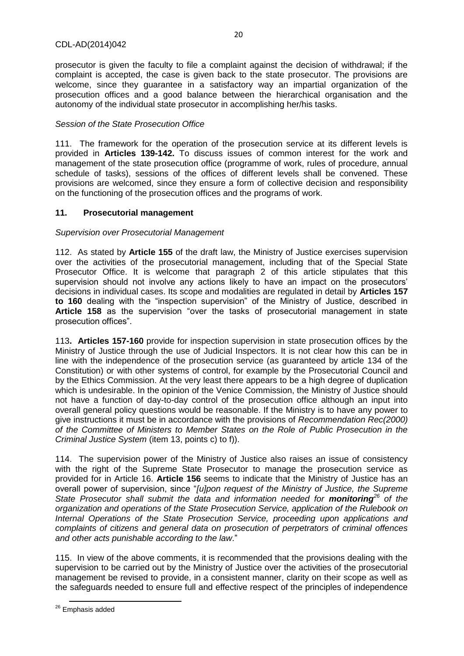prosecutor is given the faculty to file a complaint against the decision of withdrawal; if the complaint is accepted, the case is given back to the state prosecutor. The provisions are welcome, since they guarantee in a satisfactory way an impartial organization of the prosecution offices and a good balance between the hierarchical organisation and the autonomy of the individual state prosecutor in accomplishing her/his tasks.

20

## *Session of the State Prosecution Office*

111. The framework for the operation of the prosecution service at its different levels is provided in **Articles 139-142.** To discuss issues of common interest for the work and management of the state prosecution office (programme of work, rules of procedure, annual schedule of tasks), sessions of the offices of different levels shall be convened. These provisions are welcomed, since they ensure a form of collective decision and responsibility on the functioning of the prosecution offices and the programs of work.

## <span id="page-19-0"></span>**11. Prosecutorial management**

#### *Supervision over Prosecutorial Management*

112. As stated by **Article 155** of the draft law, the Ministry of Justice exercises supervision over the activities of the prosecutorial management, including that of the Special State Prosecutor Office. It is welcome that paragraph 2 of this article stipulates that this supervision should not involve any actions likely to have an impact on the prosecutors' decisions in individual cases. Its scope and modalities are regulated in detail by **Articles 157 to 160** dealing with the "inspection supervision" of the Ministry of Justice, described in **Article 158** as the supervision "over the tasks of prosecutorial management in state prosecution offices".

113**. Articles 157-160** provide for inspection supervision in state prosecution offices by the Ministry of Justice through the use of Judicial Inspectors. It is not clear how this can be in line with the independence of the prosecution service (as guaranteed by article 134 of the Constitution) or with other systems of control, for example by the Prosecutorial Council and by the Ethics Commission. At the very least there appears to be a high degree of duplication which is undesirable. In the opinion of the Venice Commission, the Ministry of Justice should not have a function of day-to-day control of the prosecution office although an input into overall general policy questions would be reasonable. If the Ministry is to have any power to give instructions it must be in accordance with the provisions of *Recommendation Rec(2000) of the Committee of Ministers to Member States on the Role of Public Prosecution in the Criminal Justice System* (item 13, points c) to f)).

114. The supervision power of the Ministry of Justice also raises an issue of consistency with the right of the Supreme State Prosecutor to manage the prosecution service as provided for in Article 16. **Article 156** seems to indicate that the Ministry of Justice has an overall power of supervision, since "*[u]pon request of the Ministry of Justice, the Supreme State Prosecutor shall submit the data and information needed for monitoring<sup>26</sup> of the organization and operations of the State Prosecution Service, application of the Rulebook on Internal Operations of the State Prosecution Service, proceeding upon applications and complaints of citizens and general data on prosecution of perpetrators of criminal offences and other acts punishable according to the law*."

115. In view of the above comments, it is recommended that the provisions dealing with the supervision to be carried out by the Ministry of Justice over the activities of the prosecutorial management be revised to provide, in a consistent manner, clarity on their scope as well as the safeguards needed to ensure full and effective respect of the principles of independence

 $\overline{\phantom{a}}$ <sup>26</sup> Emphasis added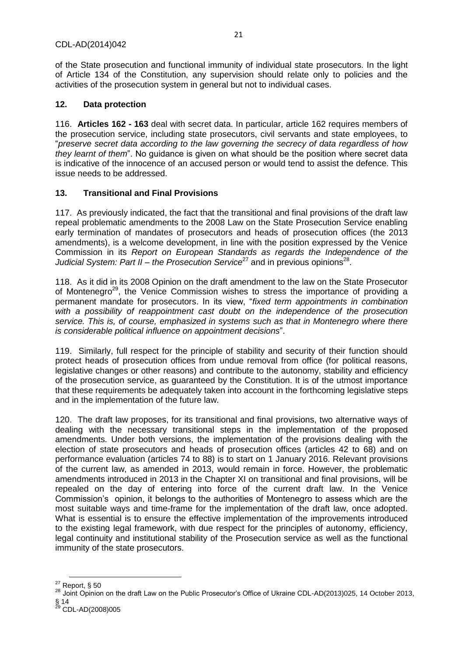of the State prosecution and functional immunity of individual state prosecutors. In the light of Article 134 of the Constitution, any supervision should relate only to policies and the activities of the prosecution system in general but not to individual cases.

21

## <span id="page-20-0"></span>**12. Data protection**

116. **Articles 162 - 163** deal with secret data. In particular, article 162 requires members of the prosecution service, including state prosecutors, civil servants and state employees, to "*preserve secret data according to the law governing the secrecy of data regardless of how they learnt of them*". No guidance is given on what should be the position where secret data is indicative of the innocence of an accused person or would tend to assist the defence. This issue needs to be addressed.

## <span id="page-20-1"></span>**13. Transitional and Final Provisions**

117. As previously indicated, the fact that the transitional and final provisions of the draft law repeal problematic amendments to the 2008 Law on the State Prosecution Service enabling early termination of mandates of prosecutors and heads of prosecution offices (the 2013 amendments), is a welcome development, in line with the position expressed by the Venice Commission in its *Report on European Standards as regards the Independence of the*  Judicial System: Part II – the Prosecution Service<sup>27</sup> and in previous opinions<sup>28</sup>.

118. As it did in its 2008 Opinion on the draft amendment to the law on the State Prosecutor of Montenegro<sup>29</sup>, the Venice Commission wishes to stress the importance of providing a permanent mandate for prosecutors. In its view, "*fixed term appointments in combination with a possibility of reappointment cast doubt on the independence of the prosecution service. This is, of course, emphasized in systems such as that in Montenegro where there is considerable political influence on appointment decisions*".

119. Similarly, full respect for the principle of stability and security of their function should protect heads of prosecution offices from undue removal from office (for political reasons, legislative changes or other reasons) and contribute to the autonomy, stability and efficiency of the prosecution service, as guaranteed by the Constitution. It is of the utmost importance that these requirements be adequately taken into account in the forthcoming legislative steps and in the implementation of the future law.

120. The draft law proposes, for its transitional and final provisions, two alternative ways of dealing with the necessary transitional steps in the implementation of the proposed amendments. Under both versions, the implementation of the provisions dealing with the election of state prosecutors and heads of prosecution offices (articles 42 to 68) and on performance evaluation (articles 74 to 88) is to start on 1 January 2016. Relevant provisions of the current law, as amended in 2013, would remain in force. However, the problematic amendments introduced in 2013 in the Chapter XI on transitional and final provisions, will be repealed on the day of entering into force of the current draft law. In the Venice Commission's opinion, it belongs to the authorities of Montenegro to assess which are the most suitable ways and time-frame for the implementation of the draft law, once adopted. What is essential is to ensure the effective implementation of the improvements introduced to the existing legal framework, with due respect for the principles of autonomy, efficiency, legal continuity and institutional stability of the Prosecution service as well as the functional immunity of the state prosecutors.

§ 14 <sup>29</sup> CDL-AD(2008)005

**<sup>.</sup>**  $^{27}$  Report, § 50

<sup>28</sup> Joint Opinion on the draft Law on the Public Prosecutor's Office of Ukraine CDL-AD(2013)025, 14 October 2013,